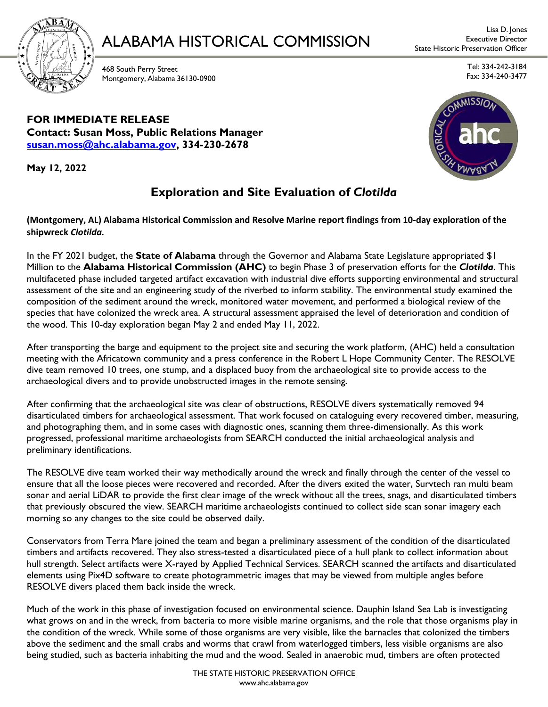

### ALABAMA HISTORICAL COMMISSION Executive Director

468 South Perry Street Montgomery, Alabama 36130-0900

Tel: 334-242-3184 Fax: 334-240-3477

**FOR IMMEDIATE RELEASE Contact: Susan Moss, Public Relations Manager [susan.moss@ahc.alabama.gov,](mailto:susan.moss@ahc.alabama.gov) 334-230-2678**

**May 12, 2022**

#### **Exploration and Site Evaluation of** *Clotilda*

**(Montgomery, AL) Alabama Historical Commission and Resolve Marine report findings from 10-day exploration of the shipwreck** *Clotilda.*

In the FY 2021 budget, the **State of Alabama** through the Governor and Alabama State Legislature appropriated \$1 Million to the **Alabama Historical Commission (AHC)** to begin Phase 3 of preservation efforts for the *Clotilda*. This multifaceted phase included targeted artifact excavation with industrial dive efforts supporting environmental and structural assessment of the site and an engineering study of the riverbed to inform stability. The environmental study examined the composition of the sediment around the wreck, monitored water movement, and performed a biological review of the species that have colonized the wreck area. A structural assessment appraised the level of deterioration and condition of the wood. This 10-day exploration began May 2 and ended May 11, 2022.

After transporting the barge and equipment to the project site and securing the work platform, (AHC) held a consultation meeting with the Africatown community and a press conference in the Robert L Hope Community Center. The RESOLVE dive team removed 10 trees, one stump, and a displaced buoy from the archaeological site to provide access to the archaeological divers and to provide unobstructed images in the remote sensing.

After confirming that the archaeological site was clear of obstructions, RESOLVE divers systematically removed 94 disarticulated timbers for archaeological assessment. That work focused on cataloguing every recovered timber, measuring, and photographing them, and in some cases with diagnostic ones, scanning them three-dimensionally. As this work progressed, professional maritime archaeologists from SEARCH conducted the initial archaeological analysis and preliminary identifications.

The RESOLVE dive team worked their way methodically around the wreck and finally through the center of the vessel to ensure that all the loose pieces were recovered and recorded. After the divers exited the water, Survtech ran multi beam sonar and aerial LiDAR to provide the first clear image of the wreck without all the trees, snags, and disarticulated timbers that previously obscured the view. SEARCH maritime archaeologists continued to collect side scan sonar imagery each morning so any changes to the site could be observed daily.

Conservators from Terra Mare joined the team and began a preliminary assessment of the condition of the disarticulated timbers and artifacts recovered. They also stress-tested a disarticulated piece of a hull plank to collect information about hull strength. Select artifacts were X-rayed by Applied Technical Services. SEARCH scanned the artifacts and disarticulated elements using Pix4D software to create photogrammetric images that may be viewed from multiple angles before RESOLVE divers placed them back inside the wreck.

Much of the work in this phase of investigation focused on environmental science. Dauphin Island Sea Lab is investigating what grows on and in the wreck, from bacteria to more visible marine organisms, and the role that those organisms play in the condition of the wreck. While some of those organisms are very visible, like the barnacles that colonized the timbers above the sediment and the small crabs and worms that crawl from waterlogged timbers, less visible organisms are also being studied, such as bacteria inhabiting the mud and the wood. Sealed in anaerobic mud, timbers are often protected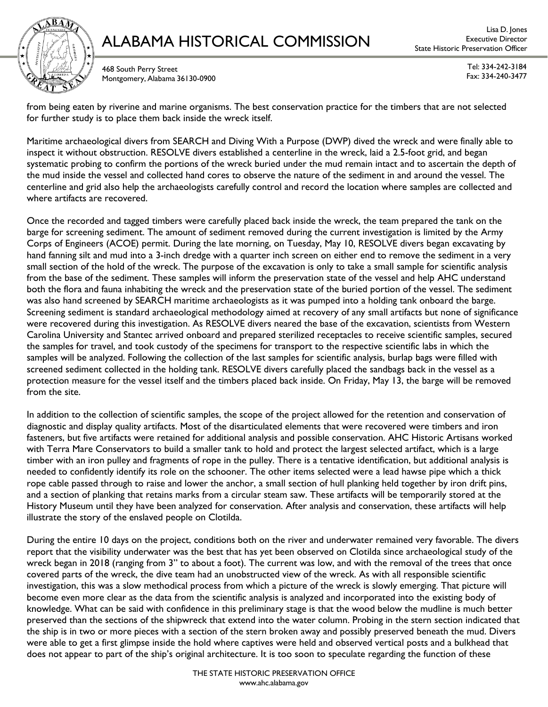

# ALABAMA HISTORICAL COMMISSION Executive Director ALABAMA HISTORICAL COMMISSION Extect Historic Preservation Officer

Lisa D. Jones

468 South Perry Street Montgomery, Alabama 36130-0900

Tel: 334-242-3184 Fax: 334-240-3477

from being eaten by riverine and marine organisms. The best conservation practice for the timbers that are not selected for further study is to place them back inside the wreck itself.

Maritime archaeological divers from SEARCH and Diving With a Purpose (DWP) dived the wreck and were finally able to inspect it without obstruction. RESOLVE divers established a centerline in the wreck, laid a 2.5-foot grid, and began systematic probing to confirm the portions of the wreck buried under the mud remain intact and to ascertain the depth of the mud inside the vessel and collected hand cores to observe the nature of the sediment in and around the vessel. The centerline and grid also help the archaeologists carefully control and record the location where samples are collected and where artifacts are recovered.

Once the recorded and tagged timbers were carefully placed back inside the wreck, the team prepared the tank on the barge for screening sediment. The amount of sediment removed during the current investigation is limited by the Army Corps of Engineers (ACOE) permit. During the late morning, on Tuesday, May 10, RESOLVE divers began excavating by hand fanning silt and mud into a 3-inch dredge with a quarter inch screen on either end to remove the sediment in a very small section of the hold of the wreck. The purpose of the excavation is only to take a small sample for scientific analysis from the base of the sediment. These samples will inform the preservation state of the vessel and help AHC understand both the flora and fauna inhabiting the wreck and the preservation state of the buried portion of the vessel. The sediment was also hand screened by SEARCH maritime archaeologists as it was pumped into a holding tank onboard the barge. Screening sediment is standard archaeological methodology aimed at recovery of any small artifacts but none of significance were recovered during this investigation. As RESOLVE divers neared the base of the excavation, scientists from Western Carolina University and Stantec arrived onboard and prepared sterilized receptacles to receive scientific samples, secured the samples for travel, and took custody of the specimens for transport to the respective scientific labs in which the samples will be analyzed. Following the collection of the last samples for scientific analysis, burlap bags were filled with screened sediment collected in the holding tank. RESOLVE divers carefully placed the sandbags back in the vessel as a protection measure for the vessel itself and the timbers placed back inside. On Friday, May 13, the barge will be removed from the site.

In addition to the collection of scientific samples, the scope of the project allowed for the retention and conservation of diagnostic and display quality artifacts. Most of the disarticulated elements that were recovered were timbers and iron fasteners, but five artifacts were retained for additional analysis and possible conservation. AHC Historic Artisans worked with Terra Mare Conservators to build a smaller tank to hold and protect the largest selected artifact, which is a large timber with an iron pulley and fragments of rope in the pulley. There is a tentative identification, but additional analysis is needed to confidently identify its role on the schooner. The other items selected were a lead hawse pipe which a thick rope cable passed through to raise and lower the anchor, a small section of hull planking held together by iron drift pins, and a section of planking that retains marks from a circular steam saw. These artifacts will be temporarily stored at the History Museum until they have been analyzed for conservation. After analysis and conservation, these artifacts will help illustrate the story of the enslaved people on Clotilda.

During the entire 10 days on the project, conditions both on the river and underwater remained very favorable. The divers report that the visibility underwater was the best that has yet been observed on Clotilda since archaeological study of the wreck began in 2018 (ranging from 3" to about a foot). The current was low, and with the removal of the trees that once covered parts of the wreck, the dive team had an unobstructed view of the wreck. As with all responsible scientific investigation, this was a slow methodical process from which a picture of the wreck is slowly emerging. That picture will become even more clear as the data from the scientific analysis is analyzed and incorporated into the existing body of knowledge. What can be said with confidence in this preliminary stage is that the wood below the mudline is much better preserved than the sections of the shipwreck that extend into the water column. Probing in the stern section indicated that the ship is in two or more pieces with a section of the stern broken away and possibly preserved beneath the mud. Divers were able to get a first glimpse inside the hold where captives were held and observed vertical posts and a bulkhead that does not appear to part of the ship's original architecture. It is too soon to speculate regarding the function of these